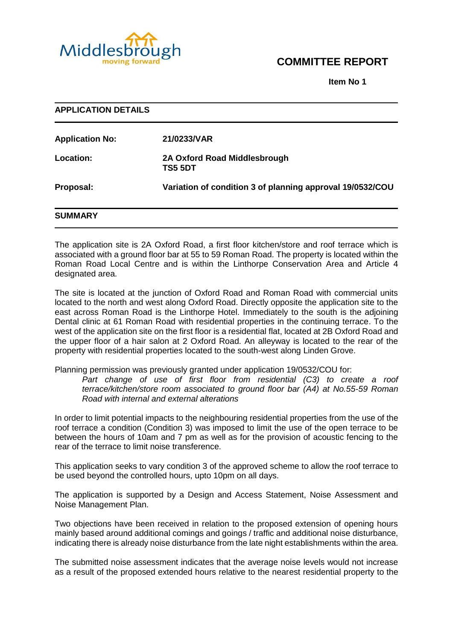

# **COMMITTEE REPORT**

**Item No 1**

| <b>APPLICATION DETAILS</b> |                                                           |
|----------------------------|-----------------------------------------------------------|
| <b>Application No:</b>     | 21/0233/VAR                                               |
| <b>Location:</b>           | 2A Oxford Road Middlesbrough<br>TS5 5DT                   |
| Proposal:                  | Variation of condition 3 of planning approval 19/0532/COU |
| <b>SUMMARY</b>             |                                                           |

The application site is 2A Oxford Road, a first floor kitchen/store and roof terrace which is associated with a ground floor bar at 55 to 59 Roman Road. The property is located within the Roman Road Local Centre and is within the Linthorpe Conservation Area and Article 4 designated area.

The site is located at the junction of Oxford Road and Roman Road with commercial units located to the north and west along Oxford Road. Directly opposite the application site to the east across Roman Road is the Linthorpe Hotel. Immediately to the south is the adjoining Dental clinic at 61 Roman Road with residential properties in the continuing terrace. To the west of the application site on the first floor is a residential flat, located at 2B Oxford Road and the upper floor of a hair salon at 2 Oxford Road. An alleyway is located to the rear of the property with residential properties located to the south-west along Linden Grove.

Planning permission was previously granted under application 19/0532/COU for:

Part change of use of first floor from residential (C3) to create a roof *terrace/kitchen/store room associated to ground floor bar (A4) at No.55-59 Roman Road with internal and external alterations*

In order to limit potential impacts to the neighbouring residential properties from the use of the roof terrace a condition (Condition 3) was imposed to limit the use of the open terrace to be between the hours of 10am and 7 pm as well as for the provision of acoustic fencing to the rear of the terrace to limit noise transference.

This application seeks to vary condition 3 of the approved scheme to allow the roof terrace to be used beyond the controlled hours, upto 10pm on all days.

The application is supported by a Design and Access Statement, Noise Assessment and Noise Management Plan.

Two objections have been received in relation to the proposed extension of opening hours mainly based around additional comings and goings / traffic and additional noise disturbance, indicating there is already noise disturbance from the late night establishments within the area.

The submitted noise assessment indicates that the average noise levels would not increase as a result of the proposed extended hours relative to the nearest residential property to the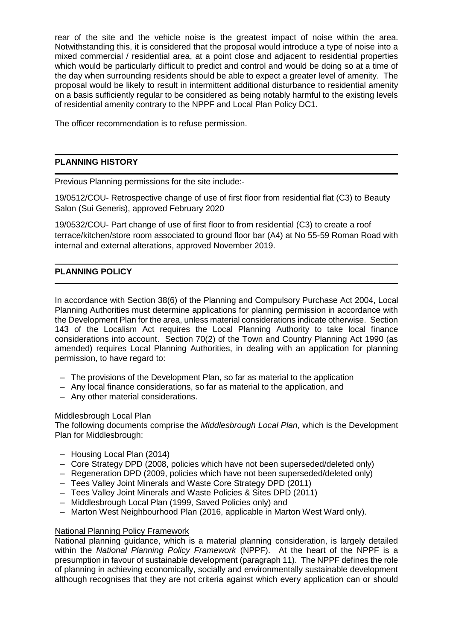rear of the site and the vehicle noise is the greatest impact of noise within the area. Notwithstanding this, it is considered that the proposal would introduce a type of noise into a mixed commercial / residential area, at a point close and adjacent to residential properties which would be particularly difficult to predict and control and would be doing so at a time of the day when surrounding residents should be able to expect a greater level of amenity. The proposal would be likely to result in intermittent additional disturbance to residential amenity on a basis sufficiently regular to be considered as being notably harmful to the existing levels of residential amenity contrary to the NPPF and Local Plan Policy DC1.

The officer recommendation is to refuse permission.

# **PLANNING HISTORY**

Previous Planning permissions for the site include:-

19/0512/COU- Retrospective change of use of first floor from residential flat (C3) to Beauty Salon (Sui Generis), approved February 2020

19/0532/COU- Part change of use of first floor to from residential (C3) to create a roof terrace/kitchen/store room associated to ground floor bar (A4) at No 55-59 Roman Road with internal and external alterations, approved November 2019.

# **PLANNING POLICY**

In accordance with Section 38(6) of the Planning and Compulsory Purchase Act 2004, Local Planning Authorities must determine applications for planning permission in accordance with the Development Plan for the area, unless material considerations indicate otherwise. Section 143 of the Localism Act requires the Local Planning Authority to take local finance considerations into account. Section 70(2) of the Town and Country Planning Act 1990 (as amended) requires Local Planning Authorities, in dealing with an application for planning permission, to have regard to:

- The provisions of the Development Plan, so far as material to the application
- Any local finance considerations, so far as material to the application, and
- Any other material considerations.

# Middlesbrough Local Plan

The following documents comprise the *Middlesbrough Local Plan*, which is the Development Plan for Middlesbrough:

- Housing Local Plan (2014)
- Core Strategy DPD (2008, policies which have not been superseded/deleted only)
- Regeneration DPD (2009, policies which have not been superseded/deleted only)
- Tees Valley Joint Minerals and Waste Core Strategy DPD (2011)
- Tees Valley Joint Minerals and Waste Policies & Sites DPD (2011)
- Middlesbrough Local Plan (1999, Saved Policies only) and
- Marton West Neighbourhood Plan (2016, applicable in Marton West Ward only).

#### National Planning Policy Framework

National planning guidance, which is a material planning consideration, is largely detailed within the *National Planning Policy Framework* (NPPF). At the heart of the NPPF is a presumption in favour of sustainable development (paragraph 11). The NPPF defines the role of planning in achieving economically, socially and environmentally sustainable development although recognises that they are not criteria against which every application can or should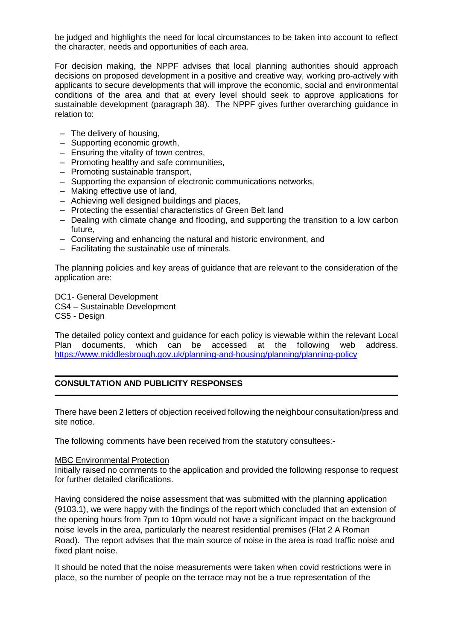be judged and highlights the need for local circumstances to be taken into account to reflect the character, needs and opportunities of each area.

For decision making, the NPPF advises that local planning authorities should approach decisions on proposed development in a positive and creative way, working pro-actively with applicants to secure developments that will improve the economic, social and environmental conditions of the area and that at every level should seek to approve applications for sustainable development (paragraph 38). The NPPF gives further overarching guidance in relation to:

- The delivery of housing,
- Supporting economic growth,
- Ensuring the vitality of town centres,
- Promoting healthy and safe communities,
- Promoting sustainable transport,
- Supporting the expansion of electronic communications networks,
- Making effective use of land,
- Achieving well designed buildings and places,
- Protecting the essential characteristics of Green Belt land
- Dealing with climate change and flooding, and supporting the transition to a low carbon future,
- Conserving and enhancing the natural and historic environment, and
- Facilitating the sustainable use of minerals.

The planning policies and key areas of guidance that are relevant to the consideration of the application are:

DC1- General Development CS4 – Sustainable Development

CS5 - Design

The detailed policy context and guidance for each policy is viewable within the relevant Local Plan documents, which can be accessed at the following web address. <https://www.middlesbrough.gov.uk/planning-and-housing/planning/planning-policy>

# **CONSULTATION AND PUBLICITY RESPONSES**

There have been 2 letters of objection received following the neighbour consultation/press and site notice.

The following comments have been received from the statutory consultees:-

#### MBC Environmental Protection

Initially raised no comments to the application and provided the following response to request for further detailed clarifications.

Having considered the noise assessment that was submitted with the planning application (9103.1), we were happy with the findings of the report which concluded that an extension of the opening hours from 7pm to 10pm would not have a significant impact on the background noise levels in the area, particularly the nearest residential premises (Flat 2 A Roman Road). The report advises that the main source of noise in the area is road traffic noise and fixed plant noise.

It should be noted that the noise measurements were taken when covid restrictions were in place, so the number of people on the terrace may not be a true representation of the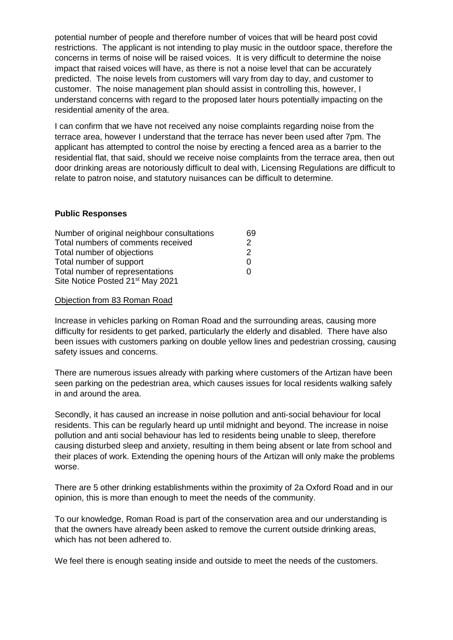potential number of people and therefore number of voices that will be heard post covid restrictions. The applicant is not intending to play music in the outdoor space, therefore the concerns in terms of noise will be raised voices. It is very difficult to determine the noise impact that raised voices will have, as there is not a noise level that can be accurately predicted. The noise levels from customers will vary from day to day, and customer to customer. The noise management plan should assist in controlling this, however, I understand concerns with regard to the proposed later hours potentially impacting on the residential amenity of the area.

I can confirm that we have not received any noise complaints regarding noise from the terrace area, however I understand that the terrace has never been used after 7pm. The applicant has attempted to control the noise by erecting a fenced area as a barrier to the residential flat, that said, should we receive noise complaints from the terrace area, then out door drinking areas are notoriously difficult to deal with, Licensing Regulations are difficult to relate to patron noise, and statutory nuisances can be difficult to determine.

# **Public Responses**

| Number of original neighbour consultations   |  |
|----------------------------------------------|--|
| Total numbers of comments received           |  |
| Total number of objections                   |  |
| Total number of support                      |  |
| Total number of representations              |  |
| Site Notice Posted 21 <sup>st</sup> May 2021 |  |

### Objection from 83 Roman Road

Increase in vehicles parking on Roman Road and the surrounding areas, causing more difficulty for residents to get parked, particularly the elderly and disabled. There have also been issues with customers parking on double yellow lines and pedestrian crossing, causing safety issues and concerns.

There are numerous issues already with parking where customers of the Artizan have been seen parking on the pedestrian area, which causes issues for local residents walking safely in and around the area.

Secondly, it has caused an increase in noise pollution and anti-social behaviour for local residents. This can be regularly heard up until midnight and beyond. The increase in noise pollution and anti social behaviour has led to residents being unable to sleep, therefore causing disturbed sleep and anxiety, resulting in them being absent or late from school and their places of work. Extending the opening hours of the Artizan will only make the problems worse.

There are 5 other drinking establishments within the proximity of 2a Oxford Road and in our opinion, this is more than enough to meet the needs of the community.

To our knowledge, Roman Road is part of the conservation area and our understanding is that the owners have already been asked to remove the current outside drinking areas, which has not been adhered to.

We feel there is enough seating inside and outside to meet the needs of the customers.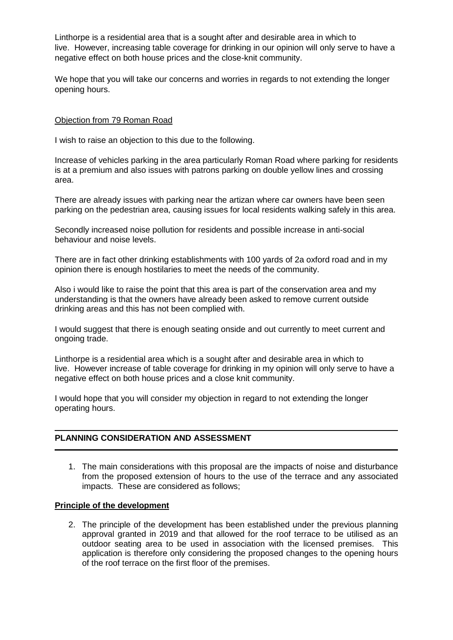Linthorpe is a residential area that is a sought after and desirable area in which to live. However, increasing table coverage for drinking in our opinion will only serve to have a negative effect on both house prices and the close-knit community.

We hope that you will take our concerns and worries in regards to not extending the longer opening hours.

### Objection from 79 Roman Road

I wish to raise an objection to this due to the following.

Increase of vehicles parking in the area particularly Roman Road where parking for residents is at a premium and also issues with patrons parking on double yellow lines and crossing area.

There are already issues with parking near the artizan where car owners have been seen parking on the pedestrian area, causing issues for local residents walking safely in this area.

Secondly increased noise pollution for residents and possible increase in anti-social behaviour and noise levels.

There are in fact other drinking establishments with 100 yards of 2a oxford road and in my opinion there is enough hostilaries to meet the needs of the community.

Also i would like to raise the point that this area is part of the conservation area and my understanding is that the owners have already been asked to remove current outside drinking areas and this has not been complied with.

I would suggest that there is enough seating onside and out currently to meet current and ongoing trade.

Linthorpe is a residential area which is a sought after and desirable area in which to live. However increase of table coverage for drinking in my opinion will only serve to have a negative effect on both house prices and a close knit community.

I would hope that you will consider my objection in regard to not extending the longer operating hours.

# **PLANNING CONSIDERATION AND ASSESSMENT**

1. The main considerations with this proposal are the impacts of noise and disturbance from the proposed extension of hours to the use of the terrace and any associated impacts. These are considered as follows;

#### **Principle of the development**

2. The principle of the development has been established under the previous planning approval granted in 2019 and that allowed for the roof terrace to be utilised as an outdoor seating area to be used in association with the licensed premises. This application is therefore only considering the proposed changes to the opening hours of the roof terrace on the first floor of the premises.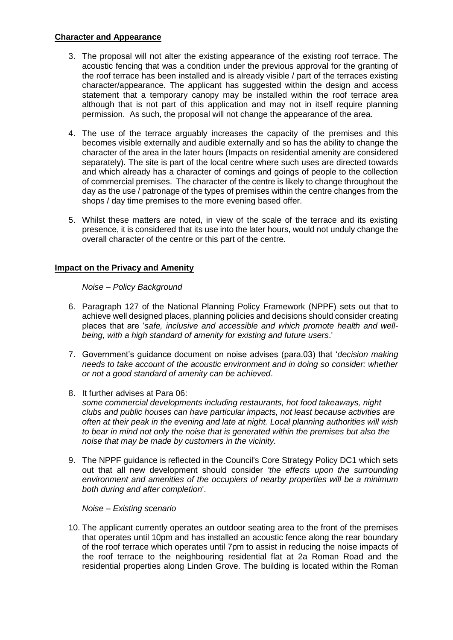# **Character and Appearance**

- 3. The proposal will not alter the existing appearance of the existing roof terrace. The acoustic fencing that was a condition under the previous approval for the granting of the roof terrace has been installed and is already visible / part of the terraces existing character/appearance. The applicant has suggested within the design and access statement that a temporary canopy may be installed within the roof terrace area although that is not part of this application and may not in itself require planning permission. As such, the proposal will not change the appearance of the area.
- 4. The use of the terrace arguably increases the capacity of the premises and this becomes visible externally and audible externally and so has the ability to change the character of the area in the later hours (Impacts on residential amenity are considered separately). The site is part of the local centre where such uses are directed towards and which already has a character of comings and goings of people to the collection of commercial premises. The character of the centre is likely to change throughout the day as the use / patronage of the types of premises within the centre changes from the shops / day time premises to the more evening based offer.
- 5. Whilst these matters are noted, in view of the scale of the terrace and its existing presence, it is considered that its use into the later hours, would not unduly change the overall character of the centre or this part of the centre.

### **Impact on the Privacy and Amenity**

*Noise – Policy Background*

- 6. Paragraph 127 of the National Planning Policy Framework (NPPF) sets out that to achieve well designed places, planning policies and decisions should consider creating places that are '*safe, inclusive and accessible and which promote health and wellbeing, with a high standard of amenity for existing and future users*.'
- 7. Government's guidance document on noise advises (para.03) that '*decision making needs to take account of the acoustic environment and in doing so consider: whether or not a good standard of amenity can be achieved*.
- 8. It further advises at Para 06: *some commercial developments including restaurants, hot food takeaways, night clubs and public houses can have particular impacts, not least because activities are often at their peak in the evening and late at night. Local planning authorities will wish to bear in mind not only the noise that is generated within the premises but also the noise that may be made by customers in the vicinity.*
- 9. The NPPF guidance is reflected in the Council's Core Strategy Policy DC1 which sets out that all new development should consider *'the effects upon the surrounding environment and amenities of the occupiers of nearby properties will be a minimum both during and after completion*'.

*Noise – Existing scenario*

10. The applicant currently operates an outdoor seating area to the front of the premises that operates until 10pm and has installed an acoustic fence along the rear boundary of the roof terrace which operates until 7pm to assist in reducing the noise impacts of the roof terrace to the neighbouring residential flat at 2a Roman Road and the residential properties along Linden Grove. The building is located within the Roman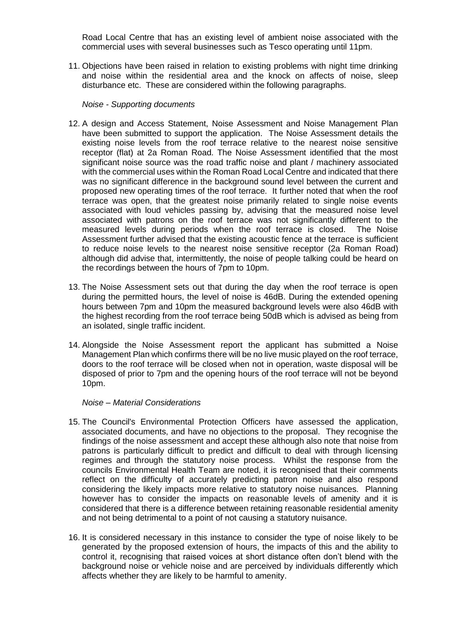Road Local Centre that has an existing level of ambient noise associated with the commercial uses with several businesses such as Tesco operating until 11pm.

11. Objections have been raised in relation to existing problems with night time drinking and noise within the residential area and the knock on affects of noise, sleep disturbance etc. These are considered within the following paragraphs.

*Noise - Supporting documents*

- 12. A design and Access Statement, Noise Assessment and Noise Management Plan have been submitted to support the application. The Noise Assessment details the existing noise levels from the roof terrace relative to the nearest noise sensitive receptor (flat) at 2a Roman Road. The Noise Assessment identified that the most significant noise source was the road traffic noise and plant / machinery associated with the commercial uses within the Roman Road Local Centre and indicated that there was no significant difference in the background sound level between the current and proposed new operating times of the roof terrace. It further noted that when the roof terrace was open, that the greatest noise primarily related to single noise events associated with loud vehicles passing by, advising that the measured noise level associated with patrons on the roof terrace was not significantly different to the measured levels during periods when the roof terrace is closed. The Noise Assessment further advised that the existing acoustic fence at the terrace is sufficient to reduce noise levels to the nearest noise sensitive receptor (2a Roman Road) although did advise that, intermittently, the noise of people talking could be heard on the recordings between the hours of 7pm to 10pm.
- 13. The Noise Assessment sets out that during the day when the roof terrace is open during the permitted hours, the level of noise is 46dB. During the extended opening hours between 7pm and 10pm the measured background levels were also 46dB with the highest recording from the roof terrace being 50dB which is advised as being from an isolated, single traffic incident.
- 14. Alongside the Noise Assessment report the applicant has submitted a Noise Management Plan which confirms there will be no live music played on the roof terrace, doors to the roof terrace will be closed when not in operation, waste disposal will be disposed of prior to 7pm and the opening hours of the roof terrace will not be beyond 10pm.

#### *Noise – Material Considerations*

- 15. The Council's Environmental Protection Officers have assessed the application, associated documents, and have no objections to the proposal. They recognise the findings of the noise assessment and accept these although also note that noise from patrons is particularly difficult to predict and difficult to deal with through licensing regimes and through the statutory noise process. Whilst the response from the councils Environmental Health Team are noted, it is recognised that their comments reflect on the difficulty of accurately predicting patron noise and also respond considering the likely impacts more relative to statutory noise nuisances. Planning however has to consider the impacts on reasonable levels of amenity and it is considered that there is a difference between retaining reasonable residential amenity and not being detrimental to a point of not causing a statutory nuisance.
- 16. It is considered necessary in this instance to consider the type of noise likely to be generated by the proposed extension of hours, the impacts of this and the ability to control it, recognising that raised voices at short distance often don't blend with the background noise or vehicle noise and are perceived by individuals differently which affects whether they are likely to be harmful to amenity.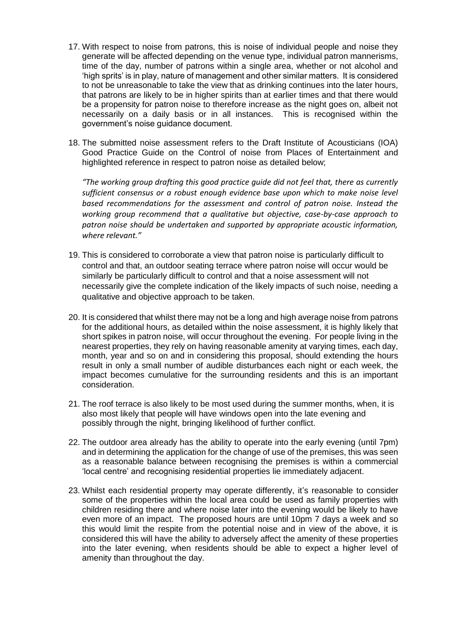- 17. With respect to noise from patrons, this is noise of individual people and noise they generate will be affected depending on the venue type, individual patron mannerisms, time of the day, number of patrons within a single area, whether or not alcohol and 'high sprits' is in play, nature of management and other similar matters. It is considered to not be unreasonable to take the view that as drinking continues into the later hours, that patrons are likely to be in higher spirits than at earlier times and that there would be a propensity for patron noise to therefore increase as the night goes on, albeit not necessarily on a daily basis or in all instances. This is recognised within the government's noise guidance document.
- 18. The submitted noise assessment refers to the Draft Institute of Acousticians (IOA) Good Practice Guide on the Control of noise from Places of Entertainment and highlighted reference in respect to patron noise as detailed below;

*"The working group drafting this good practice guide did not feel that, there as currently sufficient consensus or a robust enough evidence base upon which to make noise level based recommendations for the assessment and control of patron noise. Instead the working group recommend that a qualitative but objective, case-by-case approach to patron noise should be undertaken and supported by appropriate acoustic information, where relevant."*

- 19. This is considered to corroborate a view that patron noise is particularly difficult to control and that, an outdoor seating terrace where patron noise will occur would be similarly be particularly difficult to control and that a noise assessment will not necessarily give the complete indication of the likely impacts of such noise, needing a qualitative and objective approach to be taken.
- 20. It is considered that whilst there may not be a long and high average noise from patrons for the additional hours, as detailed within the noise assessment, it is highly likely that short spikes in patron noise, will occur throughout the evening. For people living in the nearest properties, they rely on having reasonable amenity at varying times, each day, month, year and so on and in considering this proposal, should extending the hours result in only a small number of audible disturbances each night or each week, the impact becomes cumulative for the surrounding residents and this is an important consideration.
- 21. The roof terrace is also likely to be most used during the summer months, when, it is also most likely that people will have windows open into the late evening and possibly through the night, bringing likelihood of further conflict.
- 22. The outdoor area already has the ability to operate into the early evening (until 7pm) and in determining the application for the change of use of the premises, this was seen as a reasonable balance between recognising the premises is within a commercial 'local centre' and recognising residential properties lie immediately adjacent.
- 23. Whilst each residential property may operate differently, it's reasonable to consider some of the properties within the local area could be used as family properties with children residing there and where noise later into the evening would be likely to have even more of an impact. The proposed hours are until 10pm 7 days a week and so this would limit the respite from the potential noise and in view of the above, it is considered this will have the ability to adversely affect the amenity of these properties into the later evening, when residents should be able to expect a higher level of amenity than throughout the day.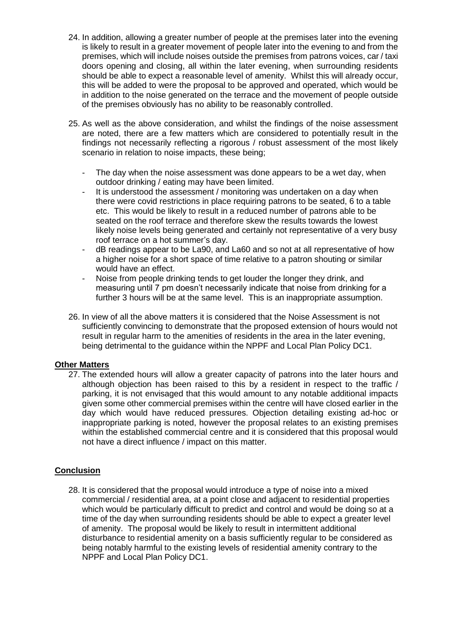- 24. In addition, allowing a greater number of people at the premises later into the evening is likely to result in a greater movement of people later into the evening to and from the premises, which will include noises outside the premises from patrons voices, car / taxi doors opening and closing, all within the later evening, when surrounding residents should be able to expect a reasonable level of amenity. Whilst this will already occur, this will be added to were the proposal to be approved and operated, which would be in addition to the noise generated on the terrace and the movement of people outside of the premises obviously has no ability to be reasonably controlled.
- 25. As well as the above consideration, and whilst the findings of the noise assessment are noted, there are a few matters which are considered to potentially result in the findings not necessarily reflecting a rigorous / robust assessment of the most likely scenario in relation to noise impacts, these being;
	- The day when the noise assessment was done appears to be a wet day, when outdoor drinking / eating may have been limited.
	- It is understood the assessment / monitoring was undertaken on a day when there were covid restrictions in place requiring patrons to be seated, 6 to a table etc. This would be likely to result in a reduced number of patrons able to be seated on the roof terrace and therefore skew the results towards the lowest likely noise levels being generated and certainly not representative of a very busy roof terrace on a hot summer's day.
	- dB readings appear to be La90, and La60 and so not at all representative of how a higher noise for a short space of time relative to a patron shouting or similar would have an effect.
	- Noise from people drinking tends to get louder the longer they drink, and measuring until 7 pm doesn't necessarily indicate that noise from drinking for a further 3 hours will be at the same level. This is an inappropriate assumption.
- 26. In view of all the above matters it is considered that the Noise Assessment is not sufficiently convincing to demonstrate that the proposed extension of hours would not result in regular harm to the amenities of residents in the area in the later evening, being detrimental to the guidance within the NPPF and Local Plan Policy DC1.

# **Other Matters**

27. The extended hours will allow a greater capacity of patrons into the later hours and although objection has been raised to this by a resident in respect to the traffic / parking, it is not envisaged that this would amount to any notable additional impacts given some other commercial premises within the centre will have closed earlier in the day which would have reduced pressures. Objection detailing existing ad-hoc or inappropriate parking is noted, however the proposal relates to an existing premises within the established commercial centre and it is considered that this proposal would not have a direct influence / impact on this matter.

# **Conclusion**

28. It is considered that the proposal would introduce a type of noise into a mixed commercial / residential area, at a point close and adjacent to residential properties which would be particularly difficult to predict and control and would be doing so at a time of the day when surrounding residents should be able to expect a greater level of amenity. The proposal would be likely to result in intermittent additional disturbance to residential amenity on a basis sufficiently regular to be considered as being notably harmful to the existing levels of residential amenity contrary to the NPPF and Local Plan Policy DC1.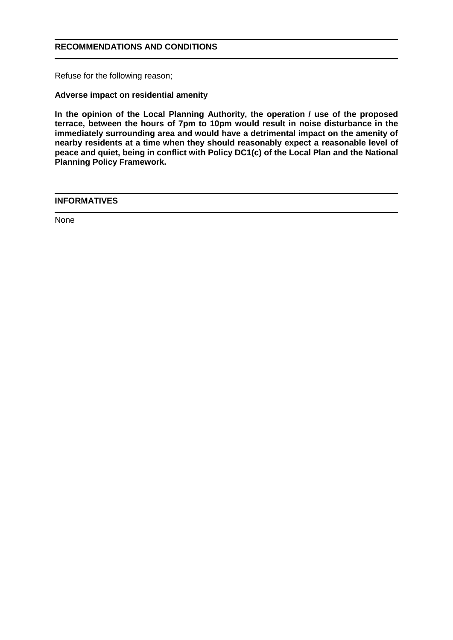# **RECOMMENDATIONS AND CONDITIONS**

Refuse for the following reason;

**Adverse impact on residential amenity**

**In the opinion of the Local Planning Authority, the operation / use of the proposed terrace, between the hours of 7pm to 10pm would result in noise disturbance in the immediately surrounding area and would have a detrimental impact on the amenity of nearby residents at a time when they should reasonably expect a reasonable level of peace and quiet, being in conflict with Policy DC1(c) of the Local Plan and the National Planning Policy Framework.**

### **INFORMATIVES**

None